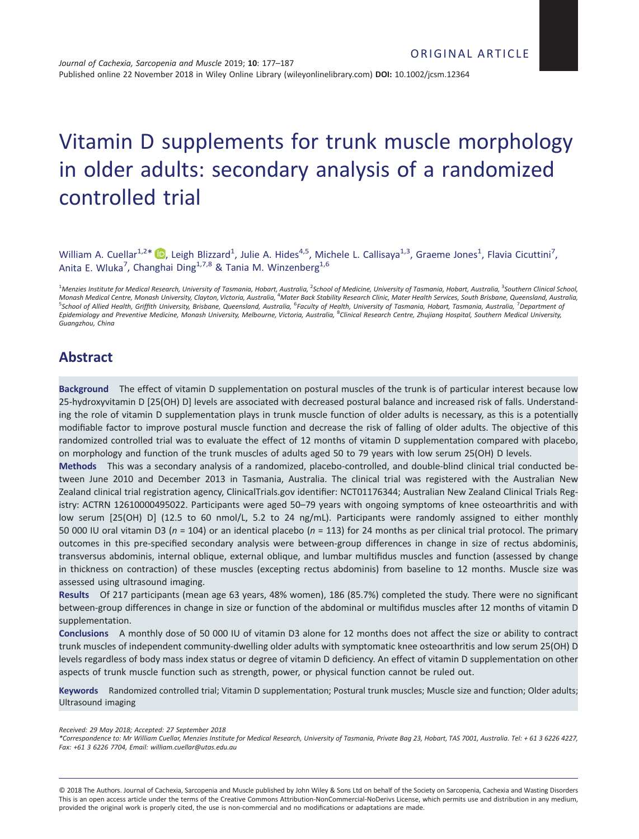# Vitamin D supplements for trunk muscle morphology in older adults: secondary analysis of a randomized controlled trial

William A. Cuellar<sup>1,2\*</sup>  $\bullet$ , Leigh Blizzard<sup>1</sup>, Julie A. Hides<sup>4,5</sup>, Michele L. Callisaya<sup>1,3</sup>, Graeme Jones<sup>1</sup>, Flavia Cicuttini<sup>7</sup>, Anita E. Wluka<sup>7</sup>, Changhai Ding<sup>1,7,8</sup> & Tania M. Winzenberg<sup>1,6</sup>

<sup>1</sup>Menzies Institute for Medical Research, University of Tasmania, Hobart, Australia, <sup>2</sup>School of Medicine, University of Tasmania, Hobart, Australia, <sup>3</sup>Southern Clinical School, Monash Medical Centre, Monash University, Clayton, Victoria, Australia, <sup>4</sup>Mater Back Stability Research Clinic, Mater Health Services, South Brisbane, Queensland, Australia,<br><sup>5</sup>School of Allied Health, Griffith University Epidemiology and Preventive Medicine, Monash University, Melbourne, Victoria, Australia, <sup>8</sup>Clinical Research Centre, Zhujiang Hospital, Southern Medical University, Guangzhou, China

# Abstract

Background The effect of vitamin D supplementation on postural muscles of the trunk is of particular interest because low 25-hydroxyvitamin D [25(OH) D] levels are associated with decreased postural balance and increased risk of falls. Understanding the role of vitamin D supplementation plays in trunk muscle function of older adults is necessary, as this is a potentially modifiable factor to improve postural muscle function and decrease the risk of falling of older adults. The objective of this randomized controlled trial was to evaluate the effect of 12 months of vitamin D supplementation compared with placebo, on morphology and function of the trunk muscles of adults aged 50 to 79 years with low serum 25(OH) D levels.

Methods This was a secondary analysis of a randomized, placebo-controlled, and double-blind clinical trial conducted between June 2010 and December 2013 in Tasmania, Australia. The clinical trial was registered with the Australian New Zealand clinical trial registration agency, ClinicalTrials.gov identifier: NCT01176344; Australian New Zealand Clinical Trials Registry: ACTRN 12610000495022. Participants were aged 50–79 years with ongoing symptoms of knee osteoarthritis and with low serum [25(OH) D] (12.5 to 60 nmol/L, 5.2 to 24 ng/mL). Participants were randomly assigned to either monthly 50 000 IU oral vitamin D3 ( $n = 104$ ) or an identical placebo ( $n = 113$ ) for 24 months as per clinical trial protocol. The primary outcomes in this pre-specified secondary analysis were between-group differences in change in size of rectus abdominis, transversus abdominis, internal oblique, external oblique, and lumbar multifidus muscles and function (assessed by change in thickness on contraction) of these muscles (excepting rectus abdominis) from baseline to 12 months. Muscle size was assessed using ultrasound imaging.

Results Of 217 participants (mean age 63 years, 48% women), 186 (85.7%) completed the study. There were no significant between-group differences in change in size or function of the abdominal or multifidus muscles after 12 months of vitamin D supplementation.

Conclusions A monthly dose of 50 000 IU of vitamin D3 alone for 12 months does not affect the size or ability to contract trunk muscles of independent community-dwelling older adults with symptomatic knee osteoarthritis and low serum 25(OH) D levels regardless of body mass index status or degree of vitamin D deficiency. An effect of vitamin D supplementation on other aspects of trunk muscle function such as strength, power, or physical function cannot be ruled out.

Keywords Randomized controlled trial; Vitamin D supplementation; Postural trunk muscles; Muscle size and function; Older adults; Ultrasound imaging

Received: 29 May 2018; Accepted: 27 September 2018

© 2018 The Authors. Journal of Cachexia, Sarcopenia and Muscle published by John Wiley & Sons Ltd on behalf of the Society on Sarcopenia, Cachexia and Wasting Disorders This is an open access article under the terms of the [Creative Commons Attribution-NonCommercial-NoDerivs](http://creativecommons.org/licenses/by-nc-nd/4.0/) License, which permits use and distribution in any medium, provided the original work is properly cited, the use is non-commercial and no modifications or adaptations are made.

<sup>\*</sup>Correspondence to: Mr William Cuellar, Menzies Institute for Medical Research, University of Tasmania, Private Bag 23, Hobart, TAS 7001, Australia. Tel: + 61 3 6226 4227, Fax: +61 3 6226 7704, Email: william.cuellar@utas.edu.au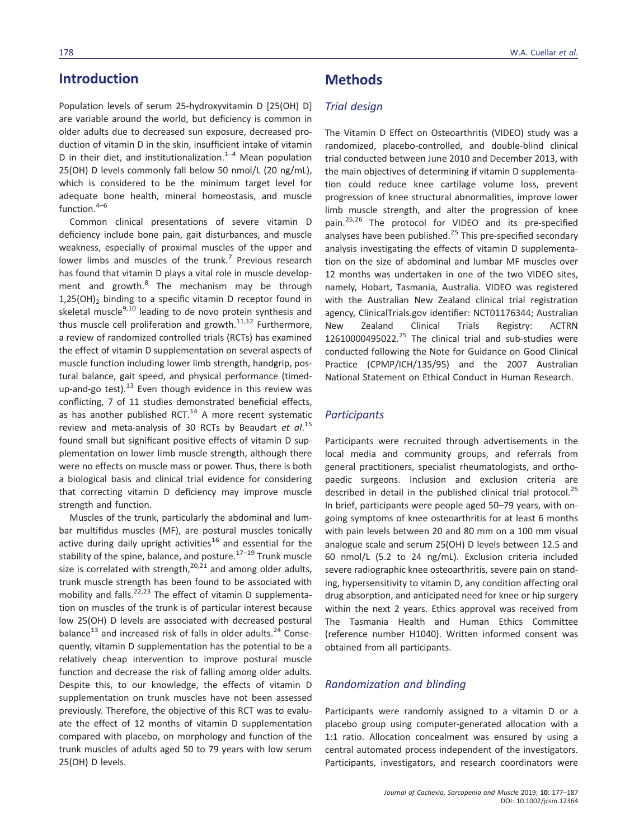# Introduction

Population levels of serum 25-hydroxyvitamin D [25(OH) D] are variable around the world, but deficiency is common in older adults due to decreased sun exposure, decreased production of vitamin D in the skin, insufficient intake of vitamin D in their diet, and institutionalization. $1-4$  Mean population 25(OH) D levels commonly fall below 50 nmol/L (20 ng/mL), which is considered to be the minimum target level for adequate bone health, mineral homeostasis, and muscle function.4–<sup>6</sup>

Common clinical presentations of severe vitamin D deficiency include bone pain, gait disturbances, and muscle weakness, especially of proximal muscles of the upper and lower limbs and muscles of the trunk.<sup>7</sup> Previous research has found that vitamin D plays a vital role in muscle development and growth.<sup>8</sup> The mechanism may be through  $1,25(OH)$ <sub>2</sub> binding to a specific vitamin D receptor found in skeletal muscle<sup>9,10</sup> leading to de novo protein synthesis and thus muscle cell proliferation and growth. $11,12$  Furthermore, a review of randomized controlled trials (RCTs) has examined the effect of vitamin D supplementation on several aspects of muscle function including lower limb strength, handgrip, postural balance, gait speed, and physical performance (timedup-and-go test).<sup>13</sup> Even though evidence in this review was conflicting, 7 of 11 studies demonstrated beneficial effects, as has another published RCT. $^{14}$  A more recent systematic review and meta-analysis of 30 RCTs by Beaudart et  $al.^{15}$ found small but significant positive effects of vitamin D supplementation on lower limb muscle strength, although there were no effects on muscle mass or power. Thus, there is both a biological basis and clinical trial evidence for considering that correcting vitamin D deficiency may improve muscle strength and function.

Muscles of the trunk, particularly the abdominal and lumbar multifidus muscles (MF), are postural muscles tonically active during daily upright activities<sup>16</sup> and essential for the stability of the spine, balance, and posture.<sup>17-19</sup> Trunk muscle size is correlated with strength, $20,21$  and among older adults, trunk muscle strength has been found to be associated with mobility and falls. $22,23$  The effect of vitamin D supplementation on muscles of the trunk is of particular interest because low 25(OH) D levels are associated with decreased postural balance<sup>13</sup> and increased risk of falls in older adults.<sup>24</sup> Consequently, vitamin D supplementation has the potential to be a relatively cheap intervention to improve postural muscle function and decrease the risk of falling among older adults. Despite this, to our knowledge, the effects of vitamin D supplementation on trunk muscles have not been assessed previously. Therefore, the objective of this RCT was to evaluate the effect of 12 months of vitamin D supplementation compared with placebo, on morphology and function of the trunk muscles of adults aged 50 to 79 years with low serum 25(OH) D levels.

## **Methods**

### Trial design

The Vitamin D Effect on Osteoarthritis (VIDEO) study was a randomized, placebo-controlled, and double-blind clinical trial conducted between June 2010 and December 2013, with the main objectives of determining if vitamin D supplementation could reduce knee cartilage volume loss, prevent progression of knee structural abnormalities, improve lower limb muscle strength, and alter the progression of knee pain.25,26 The protocol for VIDEO and its pre-specified analyses have been published.<sup>25</sup> This pre-specified secondary analysis investigating the effects of vitamin D supplementation on the size of abdominal and lumbar MF muscles over 12 months was undertaken in one of the two VIDEO sites, namely, Hobart, Tasmania, Australia. VIDEO was registered with the Australian New Zealand clinical trial registration agency, ClinicalTrials.gov identifier: NCT01176344; Australian New Zealand Clinical Trials Registry: ACTRN  $12610000495022.<sup>25</sup>$  The clinical trial and sub-studies were conducted following the Note for Guidance on Good Clinical Practice (CPMP/ICH/135/95) and the 2007 Australian National Statement on Ethical Conduct in Human Research.

#### **Participants**

Participants were recruited through advertisements in the local media and community groups, and referrals from general practitioners, specialist rheumatologists, and orthopaedic surgeons. Inclusion and exclusion criteria are described in detail in the published clinical trial protocol.<sup>25</sup> In brief, participants were people aged 50–79 years, with ongoing symptoms of knee osteoarthritis for at least 6 months with pain levels between 20 and 80 mm on a 100 mm visual analogue scale and serum 25(OH) D levels between 12.5 and 60 nmol/L (5.2 to 24 ng/mL). Exclusion criteria included severe radiographic knee osteoarthritis, severe pain on standing, hypersensitivity to vitamin D, any condition affecting oral drug absorption, and anticipated need for knee or hip surgery within the next 2 years. Ethics approval was received from The Tasmania Health and Human Ethics Committee (reference number H1040). Written informed consent was obtained from all participants.

### Randomization and blinding

Participants were randomly assigned to a vitamin D or a placebo group using computer-generated allocation with a 1:1 ratio. Allocation concealment was ensured by using a central automated process independent of the investigators. Participants, investigators, and research coordinators were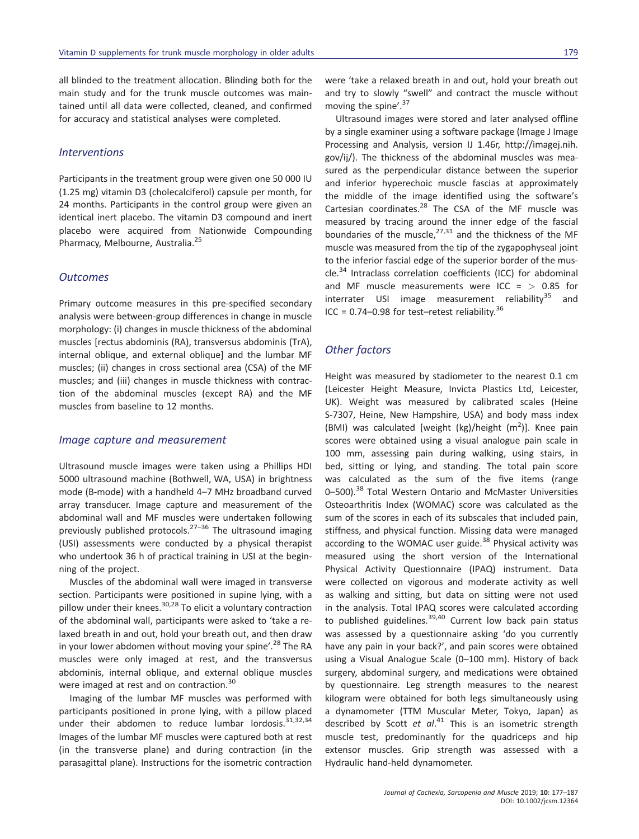all blinded to the treatment allocation. Blinding both for the main study and for the trunk muscle outcomes was maintained until all data were collected, cleaned, and confirmed for accuracy and statistical analyses were completed.

#### **Interventions**

Participants in the treatment group were given one 50 000 IU (1.25 mg) vitamin D3 (cholecalciferol) capsule per month, for 24 months. Participants in the control group were given an identical inert placebo. The vitamin D3 compound and inert placebo were acquired from Nationwide Compounding Pharmacy, Melbourne, Australia.<sup>25</sup>

#### **Outcomes**

Primary outcome measures in this pre-specified secondary analysis were between-group differences in change in muscle morphology: (i) changes in muscle thickness of the abdominal muscles [rectus abdominis (RA), transversus abdominis (TrA), internal oblique, and external oblique] and the lumbar MF muscles; (ii) changes in cross sectional area (CSA) of the MF muscles; and (iii) changes in muscle thickness with contraction of the abdominal muscles (except RA) and the MF muscles from baseline to 12 months.

#### Image capture and measurement

Ultrasound muscle images were taken using a Phillips HDI 5000 ultrasound machine (Bothwell, WA, USA) in brightness mode (B-mode) with a handheld 4–7 MHz broadband curved array transducer. Image capture and measurement of the abdominal wall and MF muscles were undertaken following previously published protocols.<sup>27-36</sup> The ultrasound imaging (USI) assessments were conducted by a physical therapist who undertook 36 h of practical training in USI at the beginning of the project.

Muscles of the abdominal wall were imaged in transverse section. Participants were positioned in supine lying, with a pillow under their knees. $30,28$  To elicit a voluntary contraction of the abdominal wall, participants were asked to 'take a relaxed breath in and out, hold your breath out, and then draw in your lower abdomen without moving your spine'.<sup>28</sup> The RA muscles were only imaged at rest, and the transversus abdominis, internal oblique, and external oblique muscles were imaged at rest and on contraction.<sup>30</sup>

Imaging of the lumbar MF muscles was performed with participants positioned in prone lying, with a pillow placed under their abdomen to reduce lumbar lordosis.<sup>31,32,34</sup> Images of the lumbar MF muscles were captured both at rest (in the transverse plane) and during contraction (in the parasagittal plane). Instructions for the isometric contraction were 'take a relaxed breath in and out, hold your breath out and try to slowly "swell" and contract the muscle without moving the spine'. 37

Ultrasound images were stored and later analysed offline by a single examiner using a software package (Image J Image Processing and Analysis, version IJ 1.46r, [http://imagej.nih.](http://imagej.nih.gov/ij/) [gov/ij/](http://imagej.nih.gov/ij/)). The thickness of the abdominal muscles was measured as the perpendicular distance between the superior and inferior hyperechoic muscle fascias at approximately the middle of the image identified using the software's Cartesian coordinates. $^{28}$  The CSA of the MF muscle was measured by tracing around the inner edge of the fascial boundaries of the muscle, $^{27,31}$  and the thickness of the MF muscle was measured from the tip of the zygapophyseal joint to the inferior fascial edge of the superior border of the muscle.<sup>34</sup> Intraclass correlation coefficients (ICC) for abdominal and MF muscle measurements were ICC =  $> 0.85$  for interrater USI image measurement reliability $35$  and ICC =  $0.74 - 0.98$  for test-retest reliability.<sup>36</sup>

### Other factors

Height was measured by stadiometer to the nearest 0.1 cm (Leicester Height Measure, Invicta Plastics Ltd, Leicester, UK). Weight was measured by calibrated scales (Heine S-7307, Heine, New Hampshire, USA) and body mass index (BMI) was calculated [weight (kg)/height  $(m^2)$ ]. Knee pain scores were obtained using a visual analogue pain scale in 100 mm, assessing pain during walking, using stairs, in bed, sitting or lying, and standing. The total pain score was calculated as the sum of the five items (range 0–500).<sup>38</sup> Total Western Ontario and McMaster Universities Osteoarthritis Index (WOMAC) score was calculated as the sum of the scores in each of its subscales that included pain, stiffness, and physical function. Missing data were managed according to the WOMAC user guide. $38$  Physical activity was measured using the short version of the International Physical Activity Questionnaire (IPAQ) instrument. Data were collected on vigorous and moderate activity as well as walking and sitting, but data on sitting were not used in the analysis. Total IPAQ scores were calculated according to published guidelines.  $39,40$  Current low back pain status was assessed by a questionnaire asking 'do you currently have any pain in your back?', and pain scores were obtained using a Visual Analogue Scale (0–100 mm). History of back surgery, abdominal surgery, and medications were obtained by questionnaire. Leg strength measures to the nearest kilogram were obtained for both legs simultaneously using a dynamometer (TTM Muscular Meter, Tokyo, Japan) as described by Scott et al.<sup>41</sup> This is an isometric strength muscle test, predominantly for the quadriceps and hip extensor muscles. Grip strength was assessed with a Hydraulic hand-held dynamometer.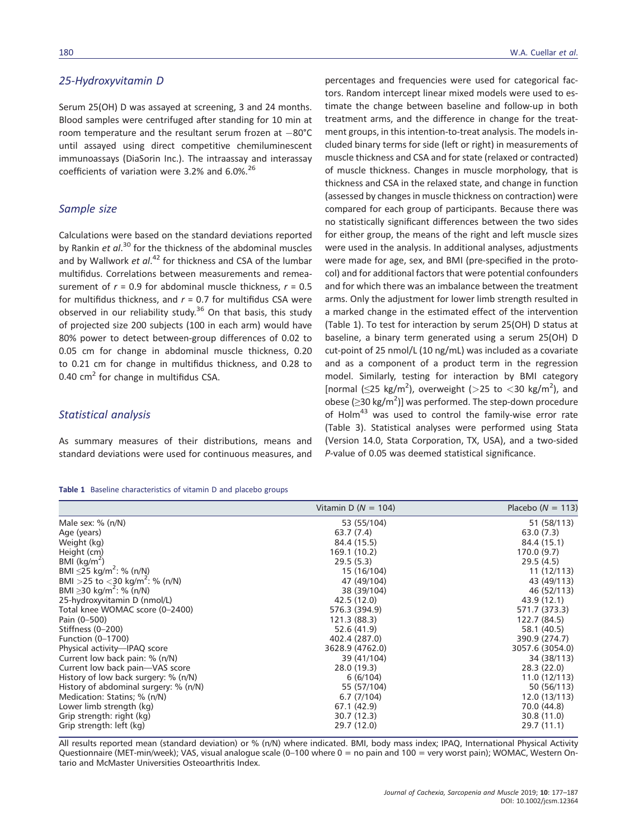### 25-Hydroxyvitamin D

Serum 25(OH) D was assayed at screening, 3 and 24 months. Blood samples were centrifuged after standing for 10 min at room temperature and the resultant serum frozen at  $-80^{\circ}$ C until assayed using direct competitive chemiluminescent immunoassays (DiaSorin Inc.). The intraassay and interassay coefficients of variation were 3.2% and 6.0%.<sup>26</sup>

#### Sample size

Calculations were based on the standard deviations reported by Rankin *et al*.<sup>30</sup> for the thickness of the abdominal muscles and by Wallwork et al.<sup>42</sup> for thickness and CSA of the lumbar multifidus. Correlations between measurements and remeasurement of  $r = 0.9$  for abdominal muscle thickness,  $r = 0.5$ for multifidus thickness, and  $r = 0.7$  for multifidus CSA were observed in our reliability study.<sup>36</sup> On that basis, this study of projected size 200 subjects (100 in each arm) would have 80% power to detect between-group differences of 0.02 to 0.05 cm for change in abdominal muscle thickness, 0.20 to 0.21 cm for change in multifidus thickness, and 0.28 to 0.40  $\text{cm}^2$  for change in multifidus CSA.

### Statistical analysis

As summary measures of their distributions, means and standard deviations were used for continuous measures, and

|  | Table 1 Baseline characteristics of vitamin D and placebo groups |  |  |  |
|--|------------------------------------------------------------------|--|--|--|
|  |                                                                  |  |  |  |

percentages and frequencies were used for categorical factors. Random intercept linear mixed models were used to estimate the change between baseline and follow-up in both treatment arms, and the difference in change for the treatment groups, in this intention-to-treat analysis. The models included binary terms for side (left or right) in measurements of muscle thickness and CSA and for state (relaxed or contracted) of muscle thickness. Changes in muscle morphology, that is thickness and CSA in the relaxed state, and change in function (assessed by changes in muscle thickness on contraction) were compared for each group of participants. Because there was no statistically significant differences between the two sides for either group, the means of the right and left muscle sizes were used in the analysis. In additional analyses, adjustments were made for age, sex, and BMI (pre-specified in the protocol) and for additional factors that were potential confounders and for which there was an imbalance between the treatment arms. Only the adjustment for lower limb strength resulted in a marked change in the estimated effect of the intervention (Table 1). To test for interaction by serum 25(OH) D status at baseline, a binary term generated using a serum 25(OH) D cut-point of 25 nmol/L (10 ng/mL) was included as a covariate and as a component of a product term in the regression model. Similarly, testing for interaction by BMI category [normal  $(\leq$ 25 kg/m<sup>2</sup>), overweight (>25 to <30 kg/m<sup>2</sup>), and obese ( $\geq$ 30 kg/m<sup>2</sup>)] was performed. The step-down procedure of Holm $43$  was used to control the family-wise error rate (Table 3). Statistical analyses were performed using Stata (Version 14.0, Stata Corporation, TX, USA), and a two-sided P-value of 0.05 was deemed statistical significance.

|                                              | Vitamin D ( $N = 104$ ) | Placebo ( $N = 113$ ) |
|----------------------------------------------|-------------------------|-----------------------|
| Male sex: $% (n/N)$                          | 53 (55/104)             | 51 (58/113)           |
| Age (years)                                  | 63.7 (7.4)              | 63.0(7.3)             |
| Weight (kg)                                  | 84.4 (15.5)             | 84.4 (15.1)           |
| Height (cm)                                  | 169.1 (10.2)            | 170.0(9.7)            |
| BMI $(kq/m^2)$                               | 29.5(5.3)               | 29.5(4.5)             |
| BMI $\leq$ 25 kg/m <sup>2</sup> : % (n/N)    | 15 (16/104)             | 11(12/113)            |
| BMI > 25 to < 30 kg/m <sup>2</sup> : % (n/N) | 47 (49/104)             | 43 (49/113)           |
| BMI $\geq$ 30 kg/m <sup>2</sup> : % (n/N)    | 38 (39/104)             | 46 (52/113)           |
| 25-hydroxyvitamin D (nmol/L)                 | 42.5 (12.0)             | 43.9 (12.1)           |
| Total knee WOMAC score (0-2400)              | 576.3 (394.9)           | 571.7 (373.3)         |
| Pain (0-500)                                 | 121.3 (88.3)            | 122.7 (84.5)          |
| Stiffness (0-200)                            | 52.6 (41.9)             | 58.1 (40.5)           |
| Function (0-1700)                            | 402.4 (287.0)           | 390.9 (274.7)         |
| Physical activity-IPAQ score                 | 3628.9 (4762.0)         | 3057.6 (3054.0)       |
| Current low back pain: % (n/N)               | 39 (41/104)             | 34 (38/113)           |
| Current low back pain-VAS score              | 28.0 (19.3)             | 28.3(22.0)            |
| History of low back surgery: % (n/N)         | 6(6/104)                | 11.0(12/113)          |
| History of abdominal surgery: % (n/N)        | 55 (57/104)             | 50 (56/113)           |
| Medication: Statins; % (n/N)                 | 6.7(7/104)              | 12.0(13/113)          |
| Lower limb strength (kg)                     | 67.1 (42.9)             | 70.0 (44.8)           |
| Grip strength: right (kg)                    | 30.7 (12.3)             | 30.8 (11.0)           |
| Grip strength: left (kg)                     | 29.7 (12.0)             | 29.7 (11.1)           |

All results reported mean (standard deviation) or % (n/N) where indicated. BMI, body mass index; IPAQ, International Physical Activity Questionnaire (MET-min/week); VAS, visual analogue scale (0–100 where 0 = no pain and 100 = very worst pain); WOMAC, Western Ontario and McMaster Universities Osteoarthritis Index.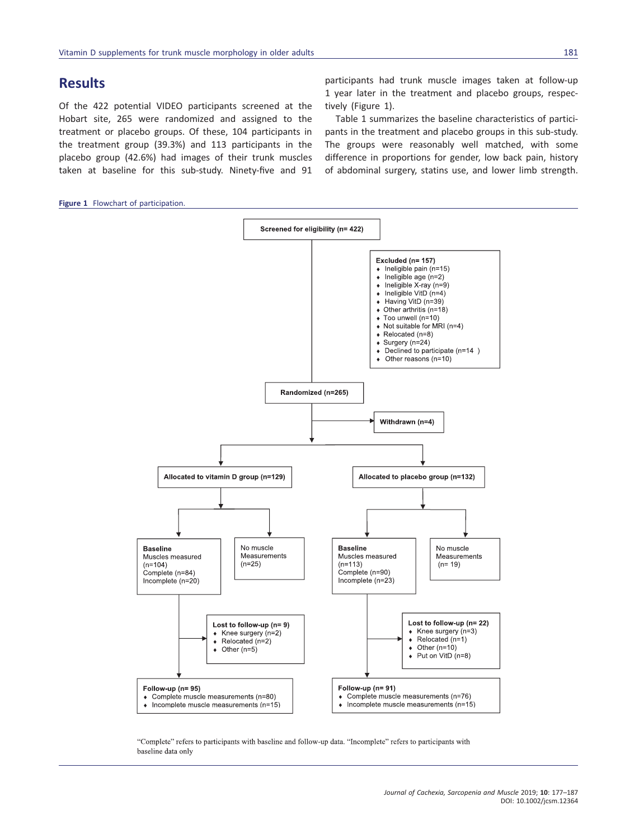# Results

Of the 422 potential VIDEO participants screened at the Hobart site, 265 were randomized and assigned to the treatment or placebo groups. Of these, 104 participants in the treatment group (39.3%) and 113 participants in the placebo group (42.6%) had images of their trunk muscles taken at baseline for this sub-study. Ninety-five and 91

Figure 1 Flowchart of participation.

participants had trunk muscle images taken at follow-up 1 year later in the treatment and placebo groups, respectively (Figure 1).

Table 1 summarizes the baseline characteristics of participants in the treatment and placebo groups in this sub-study. The groups were reasonably well matched, with some difference in proportions for gender, low back pain, history of abdominal surgery, statins use, and lower limb strength.



"Complete" refers to participants with baseline and follow-up data. "Incomplete" refers to participants with baseline data only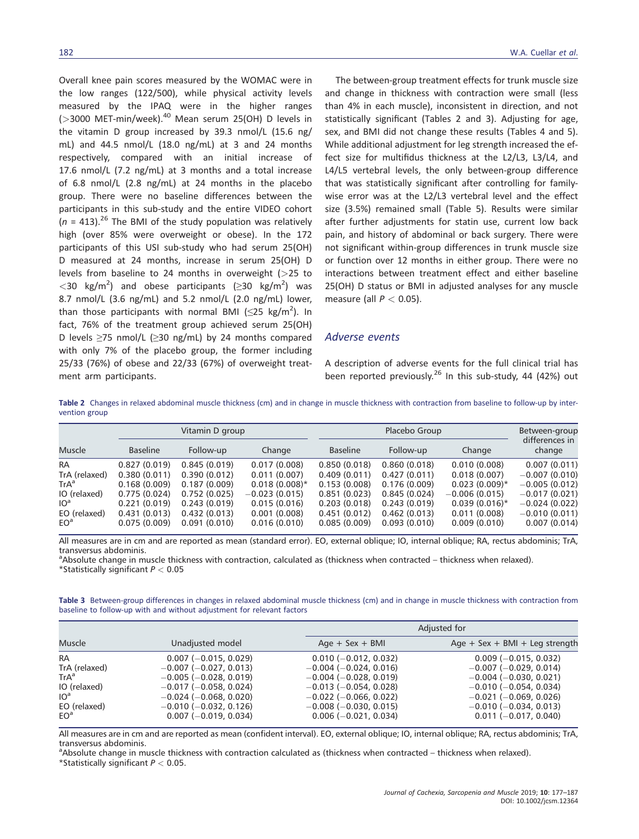Overall knee pain scores measured by the WOMAC were in the low ranges (122/500), while physical activity levels measured by the IPAQ were in the higher ranges  $($ >3000 MET-min/week).<sup>40</sup> Mean serum 25(OH) D levels in the vitamin D group increased by 39.3 nmol/L (15.6 ng/ mL) and 44.5 nmol/L (18.0 ng/mL) at 3 and 24 months respectively, compared with an initial increase of 17.6 nmol/L (7.2 ng/mL) at 3 months and a total increase of 6.8 nmol/L (2.8 ng/mL) at 24 months in the placebo group. There were no baseline differences between the participants in this sub-study and the entire VIDEO cohort  $(n = 413).^{26}$  The BMI of the study population was relatively high (over 85% were overweight or obese). In the 172 participants of this USI sub-study who had serum 25(OH) D measured at 24 months, increase in serum 25(OH) D levels from baseline to 24 months in overweight ( $>$ 25 to  $\langle$  30 kg/m<sup>2</sup>) and obese participants ( $\geq$  30 kg/m<sup>2</sup>) was 8.7 nmol/L (3.6 ng/mL) and 5.2 nmol/L (2.0 ng/mL) lower, than those participants with normal BMI ( $\leq$ 25 kg/m<sup>2</sup>). In fact, 76% of the treatment group achieved serum 25(OH) D levels ≥75 nmol/L (≥30 ng/mL) by 24 months compared with only 7% of the placebo group, the former including 25/33 (76%) of obese and 22/33 (67%) of overweight treatment arm participants.

The between-group treatment effects for trunk muscle size and change in thickness with contraction were small (less than 4% in each muscle), inconsistent in direction, and not statistically significant (Tables 2 and 3). Adjusting for age, sex, and BMI did not change these results (Tables 4 and 5). While additional adjustment for leg strength increased the effect size for multifidus thickness at the L2/L3, L3/L4, and L4/L5 vertebral levels, the only between-group difference that was statistically significant after controlling for familywise error was at the L2/L3 vertebral level and the effect size (3.5%) remained small (Table 5). Results were similar after further adjustments for statin use, current low back pain, and history of abdominal or back surgery. There were not significant within-group differences in trunk muscle size or function over 12 months in either group. There were no interactions between treatment effect and either baseline 25(OH) D status or BMI in adjusted analyses for any muscle measure (all  $P < 0.05$ ).

#### Adverse events

A description of adverse events for the full clinical trial has been reported previously.<sup>26</sup> In this sub-study, 44 (42%) out

Table 2 Changes in relaxed abdominal muscle thickness (cm) and in change in muscle thickness with contraction from baseline to follow-up by intervention group

|                 | Vitamin D group |              |                 |                 | Placebo Group |                  |                          |  |
|-----------------|-----------------|--------------|-----------------|-----------------|---------------|------------------|--------------------------|--|
| <b>Muscle</b>   | <b>Baseline</b> | Follow-up    | Change          | <b>Baseline</b> | Follow-up     | Change           | differences in<br>change |  |
| <b>RA</b>       | 0.827(0.019)    | 0.845(0.019) | 0.017(0.008)    | 0.850(0.018)    | 0.860(0.018)  | 0.010(0.008)     | 0.007(0.011)             |  |
| TrA (relaxed)   | 0.380(0.011)    | 0.390(0.012) | 0.011(0.007)    | 0.409(0.011)    | 0.427(0.011)  | 0.018(0.007)     | $-0.007(0.010)$          |  |
| $TrA^a$         | 0.168(0.009)    | 0.187(0.009) | $0.018(0.008)*$ | 0.153(0.008)    | 0.176(0.009)  | $0.023(0.009)*$  | $-0.005(0.012)$          |  |
| IO (relaxed)    | 0.775(0.024)    | 0.752(0.025) | $-0.023(0.015)$ | 0.851(0.023)    | 0.845(0.024)  | $-0.006(0.015)$  | $-0.017(0.021)$          |  |
| IO <sup>a</sup> | 0.221(0.019)    | 0.243(0.019) | 0.015(0.016)    | 0.203(0.018)    | 0.243(0.019)  | $0.039(0.016)$ * | $-0.024(0.022)$          |  |
| EO (relaxed)    | 0.431(0.013)    | 0.432(0.013) | 0.001(0.008)    | 0.451(0.012)    | 0.462(0.013)  | 0.011(0.008)     | $-0.010(0.011)$          |  |
| EO <sup>a</sup> | 0.075(0.009)    | 0.091(0.010) | 0.016(0.010)    | 0.085(0.009)    | 0.093(0.010)  | 0.009(0.010)     | 0.007(0.014)             |  |

All measures are in cm and are reported as mean (standard error). EO, external oblique; IO, internal oblique; RA, rectus abdominis; TrA, transversus abdominis.

a Absolute change in muscle thickness with contraction, calculated as (thickness when contracted – thickness when relaxed). \*Statistically significant  $P < 0.05$ 

Table 3 Between-group differences in changes in relaxed abdominal muscle thickness (cm) and in change in muscle thickness with contraction from baseline to follow-up with and without adjustment for relevant factors

|                 |                              |                              | Adjusted for                   |  |  |
|-----------------|------------------------------|------------------------------|--------------------------------|--|--|
| <b>Muscle</b>   | Unadjusted model             | $Age + Sex + BMI$            | Age + Sex + BMI + Leg strength |  |  |
| RA              | $0.007 (-0.015, 0.029)$      | $0.010 (-0.012, 0.032)$      | $0.009$ (-0.015, 0.032)        |  |  |
| TrA (relaxed)   | $-0.007$ ( $-0.027$ , 0.013) | $-0.004$ ( $-0.024$ , 0.016) | $-0.007$ ( $-0.029$ , 0.014)   |  |  |
| $TrA^a$         | $-0.005$ ( $-0.028$ , 0.019) | $-0.004$ ( $-0.028$ , 0.019) | $-0.004$ ( $-0.030$ , 0.021)   |  |  |
| IO (relaxed)    | $-0.017$ ( $-0.058$ , 0.024) | $-0.013$ ( $-0.054$ , 0.028) | $-0.010$ ( $-0.054$ , 0.034)   |  |  |
| 10 <sup>a</sup> | $-0.024$ ( $-0.068$ , 0.020) | $-0.022$ ( $-0.066$ , 0.022) | $-0.021$ ( $-0.069$ , 0.026)   |  |  |
| EO (relaxed)    | $-0.010$ ( $-0.032$ , 0.126) | $-0.008$ ( $-0.030$ , 0.015) | $-0.010$ ( $-0.034$ , 0.013)   |  |  |
| EO <sup>a</sup> | $0.007 (-0.019, 0.034)$      | $0.006 (-0.021, 0.034)$      | $0.011 (-0.017, 0.040)$        |  |  |

All measures are in cm and are reported as mean (confident interval). EO, external oblique; IO, internal oblique; RA, rectus abdominis; TrA, transversus abdominis.

a Absolute change in muscle thickness with contraction calculated as (thickness when contracted – thickness when relaxed).

\*Statistically significant  $P < 0.05$ .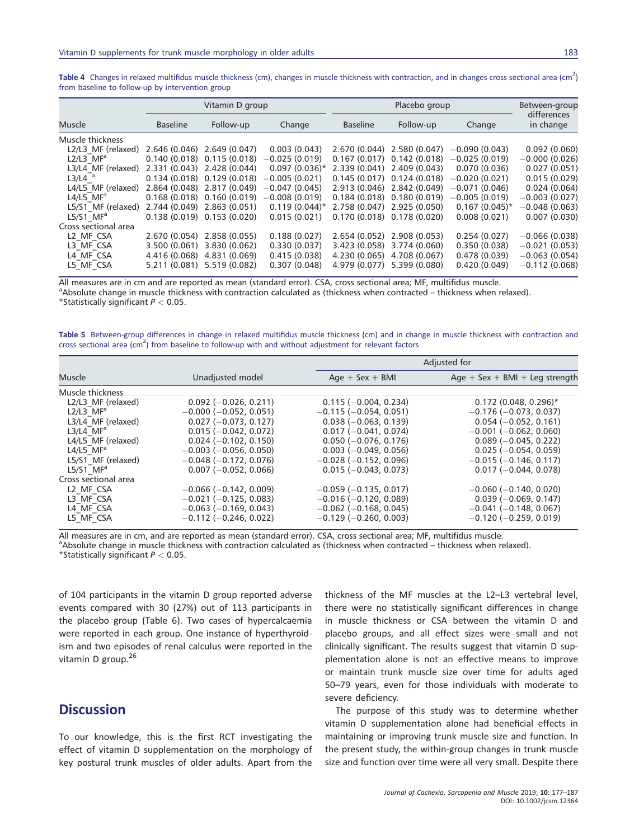Table 4 Changes in relaxed multifidus muscle thickness (cm), changes in muscle thickness with contraction, and in changes cross sectional area (cm<sup>2</sup>) from baseline to follow-up by intervention group

| Vitamin D group      |                 | Placebo group                 |                  |                               | Between-group               |                  |                          |
|----------------------|-----------------|-------------------------------|------------------|-------------------------------|-----------------------------|------------------|--------------------------|
| <b>Muscle</b>        | <b>Baseline</b> | Follow-up                     | Change           | <b>Baseline</b>               | Follow-up                   | Change           | differences<br>in change |
| Muscle thickness     |                 |                               |                  |                               |                             |                  |                          |
| L2/L3 MF (relaxed)   |                 | 2.646 (0.046) 2.649 (0.047)   | 0.003(0.043)     |                               | 2.670 (0.044) 2.580 (0.047) | $-0.090(0.043)$  | 0.092(0.060)             |
| L2/L3 $MFa$          |                 | $0.140(0.018)$ $0.115(0.018)$ | $-0.025(0.019)$  | $0.167(0.017)$ $0.142(0.018)$ |                             | $-0.025(0.019)$  | $-0.000(0.026)$          |
| L3/L4 MF (relaxed)   |                 | 2.331 (0.043) 2.428 (0.044)   | $0.097(0.036)^*$ | 2.339 (0.041) 2.409 (0.043)   |                             | 0.070(0.036)     | 0.027(0.051)             |
| $L3/L4$ <sup>a</sup> |                 | $0.134(0.018)$ $0.129(0.018)$ | $-0.005(0.021)$  | $0.145(0.017)$ $0.124(0.018)$ |                             | $-0.020(0.021)$  | 0.015(0.029)             |
| L4/L5 MF (relaxed)   |                 | 2.864 (0.048) 2.817 (0.049)   | $-0.047(0.045)$  |                               | 2.913 (0.046) 2.842 (0.049) | $-0.071(0.046)$  | 0.024(0.064)             |
| L4/L5 $MFa$          |                 | $0.168(0.018)$ $0.160(0.019)$ | $-0.008(0.019)$  | $0.184(0.018)$ $0.180(0.019)$ |                             | $-0.005(0.019)$  | $-0.003(0.027)$          |
| L5/S1 MF (relaxed)   |                 | 2.744 (0.049) 2.863 (0.051)   | $0.119(0.044)^*$ |                               | 2.758 (0.047) 2.925 (0.050) | $0.167(0.045)^*$ | $-0.048(0.063)$          |
| L5/S1 $MFa$          |                 | $0.138(0.019)$ $0.153(0.020)$ | 0.015(0.021)     |                               | 0.170 (0.018) 0.178 (0.020) | 0.008(0.021)     | 0.007(0.030)             |
| Cross sectional area |                 |                               |                  |                               |                             |                  |                          |
| L2 MF CSA            | 2.670 (0.054)   | 2.858 (0.055)                 | 0.188(0.027)     | 2.654 (0.052)                 | 2.908(0.053)                | 0.254(0.027)     | $-0.066(0.038)$          |
| L3 MF CSA            |                 | 3.500 (0.061) 3.830 (0.062)   | 0.330(0.037)     | 3.423 (0.058)                 | 3.774 (0.060)               | 0.350(0.038)     | $-0.021(0.053)$          |
| L4 MF CSA            |                 | 4.416 (0.068) 4.831 (0.069)   | 0.415(0.038)     | 4.230 (0.065)                 | 4.708 (0.067)               | 0.478(0.039)     | $-0.063(0.054)$          |
| L5 MF CSA            |                 | 5.211 (0.081) 5.519 (0.082)   | 0.307(0.048)     | 4.979 (0.077)                 | 5.399 (0.080)               | 0.420(0.049)     | $-0.112(0.068)$          |

All measures are in cm and are reported as mean (standard error). CSA, cross sectional area; MF, multifidus muscle.

Absolute change in muscle thickness with contraction calculated as (thickness when contracted – thickness when relaxed). \*Statistically significant  $P < 0.05$ .

Table 5 Between-group differences in change in relaxed multifidus muscle thickness (cm) and in change in muscle thickness with contraction and cross sectional area (cm<sup>2</sup>) from baseline to follow-up with and without adjustment for relevant factors

|                         |                              | Adjusted for                 |                                |  |
|-------------------------|------------------------------|------------------------------|--------------------------------|--|
| <b>Muscle</b>           | Unadjusted model             | $Age + Sex + BMI$            | Age + Sex + BMI + Leg strength |  |
| Muscle thickness        |                              |                              |                                |  |
| L2/L3 MF (relaxed)      | $0.092$ (-0.026, 0.211)      | $0.115 (-0.004, 0.234)$      | $0.172$ (0.048, 0.296)*        |  |
| L2/L3 $MFa$             | $-0.000$ ( $-0.052$ , 0.051) | $-0.115$ ( $-0.054$ , 0.051) | $-0.176$ ( $-0.073$ , 0.037)   |  |
| L3/L4 MF (relaxed)      | $0.027 (-0.073, 0.127)$      | $0.038(-0.063, 0.139)$       | $0.054 (-0.052, 0.161)$        |  |
| L3/L4 $MFa$             | $0.015 (-0.042, 0.072)$      | $0.017 (-0.041, 0.074)$      | $-0.001$ ( $-0.062$ , 0.060)   |  |
| L4/L5 MF (relaxed)      | $0.024 (-0.102, 0.150)$      | $0.050$ (-0.076, 0.176)      | $0.089$ (-0.045, 0.222)        |  |
| L4/L5 $MFa$             | $-0.003$ ( $-0.056$ , 0.050) | $0.003 (-0.049, 0.056)$      | $0.025 (-0.054, 0.059)$        |  |
| L5/S1 MF (relaxed)      | $-0.048$ ( $-0.172$ , 0.076) | $-0.028$ ( $-0.152$ , 0.096) | $-0.015$ ( $-0.146$ , 0.117)   |  |
| $L5/S1$ MF <sup>a</sup> | $0.007 (-0.052, 0.066)$      | $0.015 (-0.043, 0.073)$      | $0.017 (-0.044, 0.078)$        |  |
| Cross sectional area    |                              |                              |                                |  |
| L2 MF CSA               | $-0.066$ ( $-0.142$ , 0.009) | $-0.059$ ( $-0.135$ , 0.017) | $-0.060$ ( $-0.140$ , 0.020)   |  |
| L3 MF CSA               | $-0.021$ ( $-0.125$ , 0.083) | $-0.016$ ( $-0.120$ , 0.089) | $0.039(-0.069, 0.147)$         |  |
| L4 MF CSA               | $-0.063$ ( $-0.169$ , 0.043) | $-0.062$ ( $-0.168$ , 0.045) | $-0.041$ ( $-0.148$ , 0.067)   |  |
| L5 MF CSA               | $-0.112$ ( $-0.246$ , 0.022) | $-0.129$ ( $-0.260$ , 0.003) | $-0.120$ ( $-0.259$ , 0.019)   |  |

All measures are in cm, and are reported as mean (standard error). CSA, cross sectional area; MF, multifidus muscle.

<sup>a</sup>Absolute change in muscle thickness with contraction calculated as (thickness when contracted – thickness when relaxed).

\*Statistically significant  $P < 0.05$ .

of 104 participants in the vitamin D group reported adverse events compared with 30 (27%) out of 113 participants in the placebo group (Table 6). Two cases of hypercalcaemia were reported in each group. One instance of hyperthyroidism and two episodes of renal calculus were reported in the vitamin D group.<sup>26</sup>

# **Discussion**

To our knowledge, this is the first RCT investigating the effect of vitamin D supplementation on the morphology of key postural trunk muscles of older adults. Apart from the

thickness of the MF muscles at the L2–L3 vertebral level, there were no statistically significant differences in change in muscle thickness or CSA between the vitamin D and placebo groups, and all effect sizes were small and not clinically significant. The results suggest that vitamin D supplementation alone is not an effective means to improve or maintain trunk muscle size over time for adults aged 50–79 years, even for those individuals with moderate to severe deficiency.

The purpose of this study was to determine whether vitamin D supplementation alone had beneficial effects in maintaining or improving trunk muscle size and function. In the present study, the within-group changes in trunk muscle size and function over time were all very small. Despite there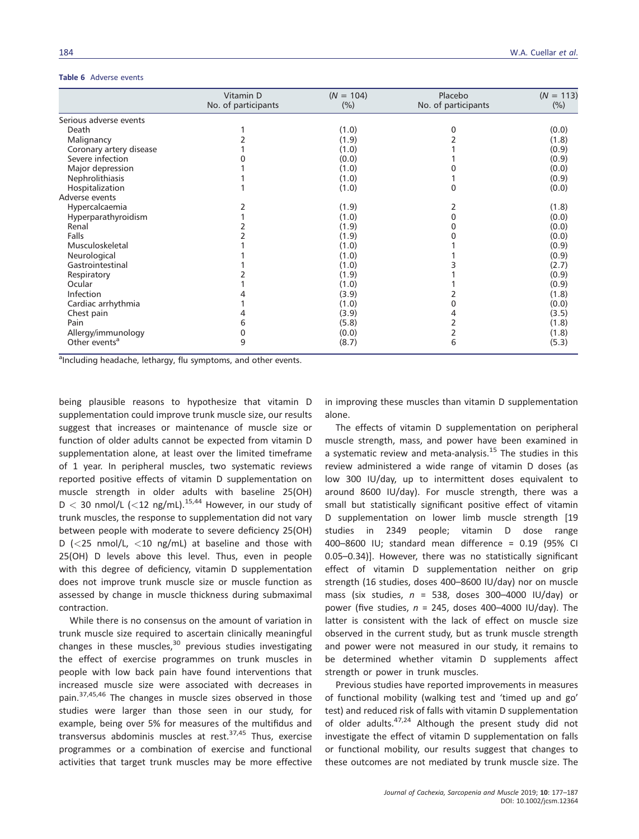#### Table 6 Adverse events

|                           | Vitamin D           | $(N = 104)$ | Placebo             | $(N = 113)$ |
|---------------------------|---------------------|-------------|---------------------|-------------|
|                           | No. of participants | (%)         | No. of participants | (%)         |
| Serious adverse events    |                     |             |                     |             |
| Death                     |                     | (1.0)       | 0                   | (0.0)       |
| Malignancy                |                     | (1.9)       |                     | (1.8)       |
| Coronary artery disease   |                     | (1.0)       |                     | (0.9)       |
| Severe infection          |                     | (0.0)       |                     | (0.9)       |
| Major depression          |                     | (1.0)       |                     | (0.0)       |
| Nephrolithiasis           |                     | (1.0)       |                     | (0.9)       |
| Hospitalization           |                     | (1.0)       | $\mathbf{0}$        | (0.0)       |
| Adverse events            |                     |             |                     |             |
| Hypercalcaemia            | 2                   | (1.9)       | 2                   | (1.8)       |
| Hyperparathyroidism       |                     | (1.0)       | 0                   | (0.0)       |
| Renal                     |                     | (1.9)       | 0                   | (0.0)       |
| Falls                     |                     | (1.9)       |                     | (0.0)       |
| Musculoskeletal           |                     | (1.0)       |                     | (0.9)       |
| Neurological              |                     | (1.0)       |                     | (0.9)       |
| Gastrointestinal          |                     | (1.0)       |                     | (2.7)       |
| Respiratory               |                     | (1.9)       |                     | (0.9)       |
| Ocular                    |                     | (1.0)       |                     | (0.9)       |
| Infection                 |                     | (3.9)       |                     | (1.8)       |
| Cardiac arrhythmia        |                     | (1.0)       | 0                   | (0.0)       |
| Chest pain                | 4                   | (3.9)       | 4                   | (3.5)       |
| Pain                      | 6                   | (5.8)       | 2                   | (1.8)       |
| Allergy/immunology        | 0                   | (0.0)       | 2                   | (1.8)       |
| Other events <sup>a</sup> | 9                   | (8.7)       | 6                   | (5.3)       |

<sup>a</sup>Including headache, lethargy, flu symptoms, and other events.

being plausible reasons to hypothesize that vitamin D supplementation could improve trunk muscle size, our results suggest that increases or maintenance of muscle size or function of older adults cannot be expected from vitamin D supplementation alone, at least over the limited timeframe of 1 year. In peripheral muscles, two systematic reviews reported positive effects of vitamin D supplementation on muscle strength in older adults with baseline 25(OH)  $D < 30$  nmol/L (<12 ng/mL).<sup>15,44</sup> However, in our study of trunk muscles, the response to supplementation did not vary between people with moderate to severe deficiency 25(OH) D ( $\lt$ 25 nmol/L,  $\lt$ 10 ng/mL) at baseline and those with 25(OH) D levels above this level. Thus, even in people with this degree of deficiency, vitamin D supplementation does not improve trunk muscle size or muscle function as assessed by change in muscle thickness during submaximal contraction.

While there is no consensus on the amount of variation in trunk muscle size required to ascertain clinically meaningful changes in these muscles, $30$  previous studies investigating the effect of exercise programmes on trunk muscles in people with low back pain have found interventions that increased muscle size were associated with decreases in pain.<sup>37,45,46</sup> The changes in muscle sizes observed in those studies were larger than those seen in our study, for example, being over 5% for measures of the multifidus and transversus abdominis muscles at rest. $37,45$  Thus, exercise programmes or a combination of exercise and functional activities that target trunk muscles may be more effective in improving these muscles than vitamin D supplementation alone.

The effects of vitamin D supplementation on peripheral muscle strength, mass, and power have been examined in a systematic review and meta-analysis.<sup>15</sup> The studies in this review administered a wide range of vitamin D doses (as low 300 IU/day, up to intermittent doses equivalent to around 8600 IU/day). For muscle strength, there was a small but statistically significant positive effect of vitamin D supplementation on lower limb muscle strength [19 studies in 2349 people; vitamin D dose range 400–8600 IU; standard mean difference = 0.19 (95% CI 0.05–0.34)]. However, there was no statistically significant effect of vitamin D supplementation neither on grip strength (16 studies, doses 400–8600 IU/day) nor on muscle mass (six studies,  $n = 538$ , doses 300-4000 IU/day) or power (five studies,  $n = 245$ , doses 400-4000 IU/day). The latter is consistent with the lack of effect on muscle size observed in the current study, but as trunk muscle strength and power were not measured in our study, it remains to be determined whether vitamin D supplements affect strength or power in trunk muscles.

Previous studies have reported improvements in measures of functional mobility (walking test and 'timed up and go' test) and reduced risk of falls with vitamin D supplementation of older adults. $47,24$  Although the present study did not investigate the effect of vitamin D supplementation on falls or functional mobility, our results suggest that changes to these outcomes are not mediated by trunk muscle size. The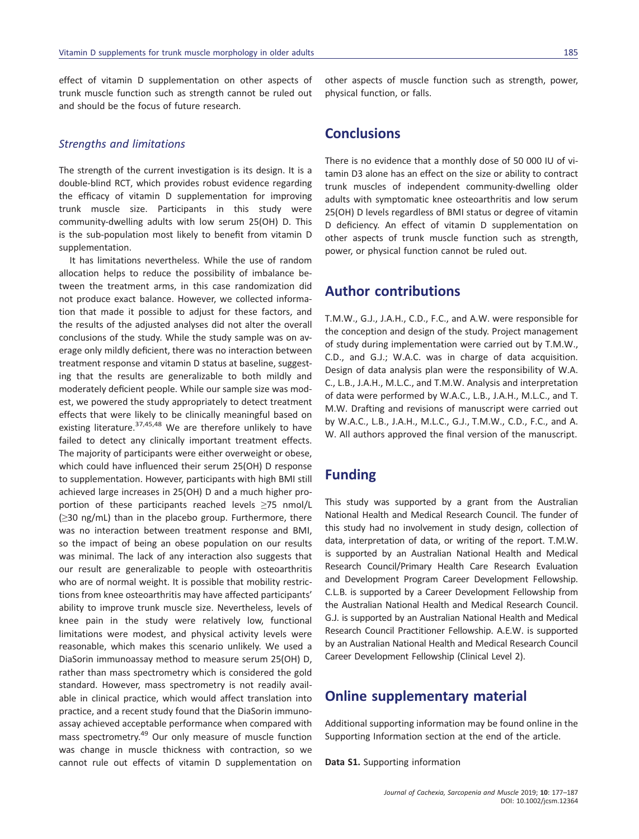effect of vitamin D supplementation on other aspects of trunk muscle function such as strength cannot be ruled out and should be the focus of future research.

#### Strengths and limitations

The strength of the current investigation is its design. It is a double-blind RCT, which provides robust evidence regarding the efficacy of vitamin D supplementation for improving trunk muscle size. Participants in this study were community-dwelling adults with low serum 25(OH) D. This is the sub-population most likely to benefit from vitamin D supplementation.

It has limitations nevertheless. While the use of random allocation helps to reduce the possibility of imbalance between the treatment arms, in this case randomization did not produce exact balance. However, we collected information that made it possible to adjust for these factors, and the results of the adjusted analyses did not alter the overall conclusions of the study. While the study sample was on average only mildly deficient, there was no interaction between treatment response and vitamin D status at baseline, suggesting that the results are generalizable to both mildly and moderately deficient people. While our sample size was modest, we powered the study appropriately to detect treatment effects that were likely to be clinically meaningful based on existing literature.<sup>37,45,48</sup> We are therefore unlikely to have failed to detect any clinically important treatment effects. The majority of participants were either overweight or obese, which could have influenced their serum 25(OH) D response to supplementation. However, participants with high BMI still achieved large increases in 25(OH) D and a much higher proportion of these participants reached levels ≥75 nmol/L (≥30 ng/mL) than in the placebo group. Furthermore, there was no interaction between treatment response and BMI, so the impact of being an obese population on our results was minimal. The lack of any interaction also suggests that our result are generalizable to people with osteoarthritis who are of normal weight. It is possible that mobility restrictions from knee osteoarthritis may have affected participants' ability to improve trunk muscle size. Nevertheless, levels of knee pain in the study were relatively low, functional limitations were modest, and physical activity levels were reasonable, which makes this scenario unlikely. We used a DiaSorin immunoassay method to measure serum 25(OH) D, rather than mass spectrometry which is considered the gold standard. However, mass spectrometry is not readily available in clinical practice, which would affect translation into practice, and a recent study found that the DiaSorin immunoassay achieved acceptable performance when compared with mass spectrometry.<sup>49</sup> Our only measure of muscle function was change in muscle thickness with contraction, so we cannot rule out effects of vitamin D supplementation on other aspects of muscle function such as strength, power, physical function, or falls.

### **Conclusions**

There is no evidence that a monthly dose of 50 000 IU of vitamin D3 alone has an effect on the size or ability to contract trunk muscles of independent community-dwelling older adults with symptomatic knee osteoarthritis and low serum 25(OH) D levels regardless of BMI status or degree of vitamin D deficiency. An effect of vitamin D supplementation on other aspects of trunk muscle function such as strength, power, or physical function cannot be ruled out.

### Author contributions

T.M.W., G.J., J.A.H., C.D., F.C., and A.W. were responsible for the conception and design of the study. Project management of study during implementation were carried out by T.M.W., C.D., and G.J.; W.A.C. was in charge of data acquisition. Design of data analysis plan were the responsibility of W.A. C., L.B., J.A.H., M.L.C., and T.M.W. Analysis and interpretation of data were performed by W.A.C., L.B., J.A.H., M.L.C., and T. M.W. Drafting and revisions of manuscript were carried out by W.A.C., L.B., J.A.H., M.L.C., G.J., T.M.W., C.D., F.C., and A. W. All authors approved the final version of the manuscript.

### Funding

This study was supported by a grant from the Australian National Health and Medical Research Council. The funder of this study had no involvement in study design, collection of data, interpretation of data, or writing of the report. T.M.W. is supported by an Australian National Health and Medical Research Council/Primary Health Care Research Evaluation and Development Program Career Development Fellowship. C.L.B. is supported by a Career Development Fellowship from the Australian National Health and Medical Research Council. G.J. is supported by an Australian National Health and Medical Research Council Practitioner Fellowship. A.E.W. is supported by an Australian National Health and Medical Research Council Career Development Fellowship (Clinical Level 2).

# Online supplementary material

Additional supporting information may be found online in the Supporting Information section at the end of the article.

Data S1. Supporting information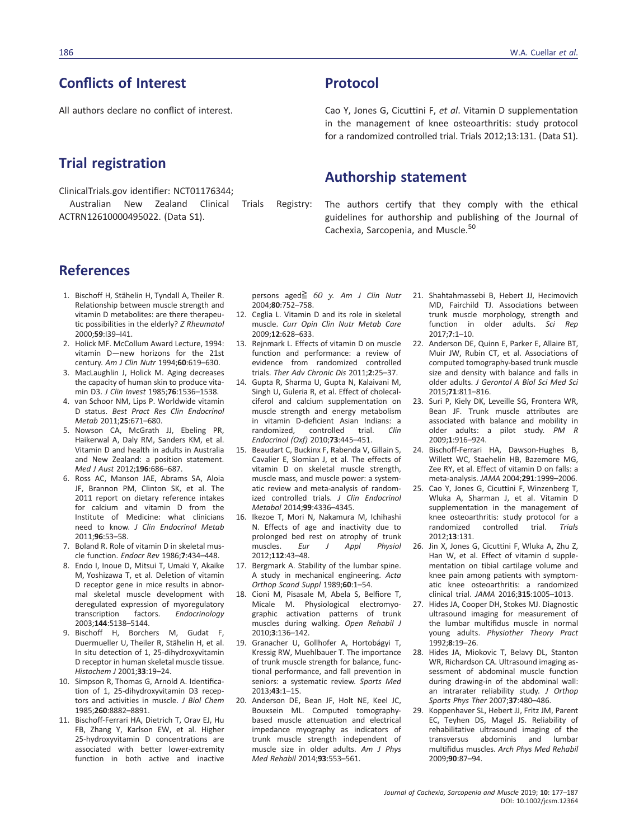# Conflicts of Interest

All authors declare no conflict of interest.

## Trial registration

ClinicalTrials.gov identifier: NCT01176344; Australian New Zealand Clinical Trials Registry: ACTRN12610000495022. (Data S1).

# Protocol

Cao Y, Jones G, Cicuttini F, et al. Vitamin D supplementation in the management of knee osteoarthritis: study protocol for a randomized controlled trial. Trials 2012;13:131. (Data S1).

### Authorship statement

The authors certify that they comply with the ethical guidelines for authorship and publishing of the Journal of Cachexia, Sarcopenia, and Muscle.<sup>50</sup>

# References

- 1. Bischoff H, Stähelin H, Tyndall A, Theiler R. Relationship between muscle strength and vitamin D metabolites: are there therapeutic possibilities in the elderly? Z Rheumatol 2000;59:I39–I41.
- 2. Holick MF. McCollum Award Lecture, 1994: vitamin D—new horizons for the 21st century. Am J Clin Nutr 1994;60:619–630.
- 3. MacLaughlin J, Holick M. Aging decreases the capacity of human skin to produce vitamin D3. J Clin Invest 1985;76:1536–1538.
- 4. van Schoor NM, Lips P. Worldwide vitamin D status. Best Pract Res Clin Endocrinol Metab 2011;25:671–680.
- 5. Nowson CA, McGrath JJ, Ebeling PR, Haikerwal A, Daly RM, Sanders KM, et al. Vitamin D and health in adults in Australia and New Zealand: a position statement. Med J Aust 2012;196:686–687.
- 6. Ross AC, Manson JAE, Abrams SA, Aloia JF, Brannon PM, Clinton SK, et al. The 2011 report on dietary reference intakes for calcium and vitamin D from the Institute of Medicine: what clinicians need to know. J Clin Endocrinol Metab 2011;96:53–58.
- 7. Boland R. Role of vitamin D in skeletal muscle function. Endocr Rev 1986;7:434–448.
- 8. Endo I, Inoue D, Mitsui T, Umaki Y, Akaike M, Yoshizawa T, et al. Deletion of vitamin D receptor gene in mice results in abnormal skeletal muscle development with deregulated expression of myoregulatory transcription factors. Endocrinology 2003;144:5138–5144.
- 9. Bischoff H, Borchers M, Gudat F, Duermueller U, Theiler R, Stähelin H, et al. In situ detection of 1, 25-dihydroxyvitamin D receptor in human skeletal muscle tissue. Histochem J 2001;33:19–24.
- 10. Simpson R, Thomas G, Arnold A. Identification of 1, 25-dihydroxyvitamin D3 receptors and activities in muscle. J Biol Chem 1985;260:8882–8891.
- 11. Bischoff-Ferrari HA, Dietrich T, Orav EJ, Hu FB, Zhang Y, Karlson EW, et al. Higher 25-hydroxyvitamin D concentrations are associated with better lower-extremity function in both active and inactive

persons aged $\geq$  60 y. Am J Clin Nutr 2004;80:752–758.

- 12. Ceglia L. Vitamin D and its role in skeletal muscle. Curr Opin Clin Nutr Metab Care 2009;12:628–633.
- 13. Rejnmark L. Effects of vitamin D on muscle function and performance: a review of evidence from randomized controlled trials. Ther Adv Chronic Dis 2011;2:25–37.
- 14. Gupta R, Sharma U, Gupta N, Kalaivani M, Singh U, Guleria R, et al. Effect of cholecalciferol and calcium supplementation on muscle strength and energy metabolism in vitamin D-deficient Asian Indians: a randomized, controlled trial. Clin Endocrinol (Oxf) 2010;73:445–451.
- 15. Beaudart C, Buckinx F, Rabenda V, Gillain S, Cavalier E, Slomian J, et al. The effects of vitamin D on skeletal muscle strength, muscle mass, and muscle power: a systematic review and meta-analysis of randomized controlled trials. J Clin Endocrinol Metabol 2014;99:4336–4345.
- 16. Ikezoe T, Mori N, Nakamura M, Ichihashi N. Effects of age and inactivity due to prolonged bed rest on atrophy of trunk muscles. Eur J Appl Physiol 2012;112:43–48.
- 17. Bergmark A. Stability of the lumbar spine. A study in mechanical engineering. Acta Orthop Scand Suppl 1989;60:1–54.
- 18. Cioni M, Pisasale M, Abela S, Belfiore T, Micale M. Physiological electromyographic activation patterns of trunk muscles during walking. Open Rehabil J 2010;3:136–142.
- 19. Granacher U, Gollhofer A, Hortobágyi T, Kressig RW, Muehlbauer T. The importance of trunk muscle strength for balance, functional performance, and fall prevention in seniors: a systematic review. Sports Med 2013;43:1–15.
- 20. Anderson DE, Bean JF, Holt NE, Keel JC, Bouxsein ML. Computed tomographybased muscle attenuation and electrical impedance myography as indicators of trunk muscle strength independent of muscle size in older adults. Am J Phys Med Rehabil 2014;93:553–561.
- 21. Shahtahmassebi B, Hebert JJ, Hecimovich MD, Fairchild TJ. Associations between trunk muscle morphology, strength and function in older adults. Sci Rep 2017;7:1–10.
- 22. Anderson DE, Quinn E, Parker E, Allaire BT, Muir JW, Rubin CT, et al. Associations of computed tomography-based trunk muscle size and density with balance and falls in older adults. J Gerontol A Biol Sci Med Sci 2015;71:811–816.
- 23. Suri P, Kiely DK, Leveille SG, Frontera WR, Bean JF. Trunk muscle attributes are associated with balance and mobility in older adults: a pilot study. PM R 2009;1:916–924.
- 24. Bischoff-Ferrari HA, Dawson-Hughes B, Willett WC, Staehelin HB, Bazemore MG, Zee RY, et al. Effect of vitamin D on falls: a meta-analysis. JAMA 2004;291:1999–2006.
- 25. Cao Y, Jones G, Cicuttini F, Winzenberg T, Wluka A, Sharman J, et al. Vitamin D supplementation in the management of knee osteoarthritis: study protocol for a randomized controlled trial. Trials 2012;13:131.
- 26. Jin X, Jones G, Cicuttini F, Wluka A, Zhu Z, Han W, et al. Effect of vitamin d supplementation on tibial cartilage volume and knee pain among patients with symptomatic knee osteoarthritis: a randomized clinical trial. JAMA 2016;315:1005–1013.
- 27. Hides JA, Cooper DH, Stokes MJ. Diagnostic ultrasound imaging for measurement of the lumbar multifidus muscle in normal young adults. Physiother Theory Pract 1992;8:19–26.
- 28. Hides JA, Miokovic T, Belavy DL, Stanton WR, Richardson CA. Ultrasound imaging assessment of abdominal muscle function during drawing-in of the abdominal wall: an intrarater reliability study. J Orthop Sports Phys Ther 2007;37:480–486.
- 29. Koppenhaver SL, Hebert JJ, Fritz JM, Parent EC, Teyhen DS, Magel JS. Reliability of rehabilitative ultrasound imaging of the<br>transversus abdominis and lumbar transversus abdominis and multifidus muscles. Arch Phys Med Rehabil 2009;90:87–94.